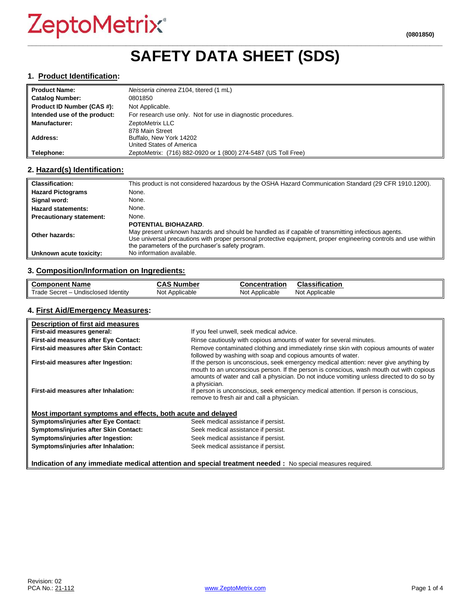# ZeptoMetrix®

# **\_\_\_\_\_\_\_\_\_\_\_\_\_\_\_\_\_\_\_\_\_\_\_\_\_\_\_\_\_\_\_\_\_\_\_\_\_\_\_\_\_\_\_\_\_\_\_\_\_\_\_\_\_\_\_\_\_\_\_\_\_\_\_\_\_\_\_\_\_\_\_\_\_\_\_\_\_\_\_\_\_\_\_\_\_\_\_\_\_\_\_\_\_\_\_\_\_ SAFETY DATA SHEET (SDS)**

### **1. Product Identification:**

| <b>Product Name:</b>         | Neisseria cinerea Z104, titered (1 mL)                         |
|------------------------------|----------------------------------------------------------------|
| <b>Catalog Number:</b>       | 0801850                                                        |
| Product ID Number (CAS #):   | Not Applicable.                                                |
| Intended use of the product: | For research use only. Not for use in diagnostic procedures.   |
| <b>Manufacturer:</b>         | ZeptoMetrix LLC                                                |
|                              | 878 Main Street                                                |
| Address:                     | Buffalo, New York 14202                                        |
|                              | United States of America                                       |
| Telephone:                   | ZeptoMetrix: (716) 882-0920 or 1 (800) 274-5487 (US Toll Free) |

# **2. Hazard(s) Identification:**

| <b>Classification:</b>          | This product is not considered hazardous by the OSHA Hazard Communication Standard (29 CFR 1910.1200).                                                                                                                                                                                                    |
|---------------------------------|-----------------------------------------------------------------------------------------------------------------------------------------------------------------------------------------------------------------------------------------------------------------------------------------------------------|
| <b>Hazard Pictograms</b>        | None.                                                                                                                                                                                                                                                                                                     |
| Signal word:                    | None.                                                                                                                                                                                                                                                                                                     |
| <b>Hazard statements:</b>       | None.                                                                                                                                                                                                                                                                                                     |
| <b>Precautionary statement:</b> | None.                                                                                                                                                                                                                                                                                                     |
| Other hazards:                  | <b>POTENTIAL BIOHAZARD.</b><br>May present unknown hazards and should be handled as if capable of transmitting infectious agents.<br>Use universal precautions with proper personal protective equipment, proper engineering controls and use within<br>the parameters of the purchaser's safety program. |
| Unknown acute toxicity:         | No information available.                                                                                                                                                                                                                                                                                 |

# **3. Composition/Information on Ingredients:**

| <b>Component Name</b>                               | $\ddot{\bullet}$<br>، Number<br>טמע | <b>Concentration</b> | Classification    |
|-----------------------------------------------------|-------------------------------------|----------------------|-------------------|
| Trade,<br>Undisclosed Identity<br>– Secret <i>-</i> | Not Applicable                      | Not Applicable       | Applicable<br>Not |

### **4. First Aid/Emergency Measures:**

| Description of first aid measures                                                                          |                                                                                                                                                                                                                                                                                                |  |
|------------------------------------------------------------------------------------------------------------|------------------------------------------------------------------------------------------------------------------------------------------------------------------------------------------------------------------------------------------------------------------------------------------------|--|
| First-aid measures general:                                                                                | If you feel unwell, seek medical advice.                                                                                                                                                                                                                                                       |  |
| First-aid measures after Eye Contact:                                                                      | Rinse cautiously with copious amounts of water for several minutes.                                                                                                                                                                                                                            |  |
| First-aid measures after Skin Contact:                                                                     | Remove contaminated clothing and immediately rinse skin with copious amounts of water<br>followed by washing with soap and copious amounts of water.                                                                                                                                           |  |
| First-aid measures after Ingestion:                                                                        | If the person is unconscious, seek emergency medical attention: never give anything by<br>mouth to an unconscious person. If the person is conscious, wash mouth out with copious<br>amounts of water and call a physician. Do not induce vomiting unless directed to do so by<br>a physician. |  |
| First-aid measures after Inhalation:                                                                       | If person is unconscious, seek emergency medical attention. If person is conscious,<br>remove to fresh air and call a physician.                                                                                                                                                               |  |
| Most important symptoms and effects, both acute and delayed                                                |                                                                                                                                                                                                                                                                                                |  |
| <b>Symptoms/injuries after Eye Contact:</b>                                                                | Seek medical assistance if persist.                                                                                                                                                                                                                                                            |  |
| Symptoms/injuries after Skin Contact:                                                                      | Seek medical assistance if persist.                                                                                                                                                                                                                                                            |  |
| Symptoms/injuries after Ingestion:                                                                         | Seek medical assistance if persist.                                                                                                                                                                                                                                                            |  |
| Symptoms/injuries after Inhalation:                                                                        | Seek medical assistance if persist.                                                                                                                                                                                                                                                            |  |
| Indication of any immediate medical attention and special treatment needed : No special measures required. |                                                                                                                                                                                                                                                                                                |  |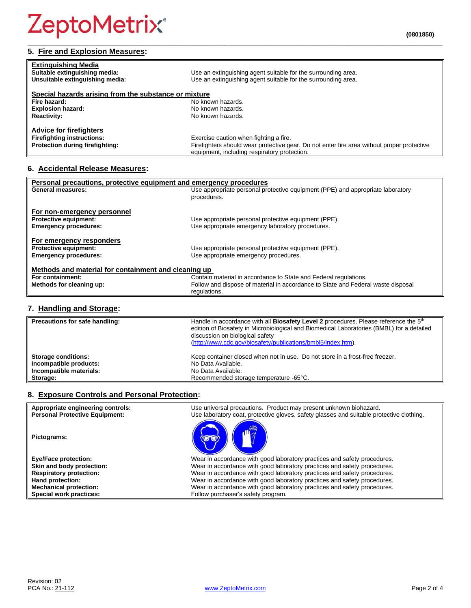# **5. Fire and Explosion Measures:**

| <b>Extinguishing Media</b><br>Suitable extinguishing media:<br>Unsuitable extinguishing media: | Use an extinguishing agent suitable for the surrounding area.<br>Use an extinguishing agent suitable for the surrounding area.             |
|------------------------------------------------------------------------------------------------|--------------------------------------------------------------------------------------------------------------------------------------------|
| Special hazards arising from the substance or mixture                                          |                                                                                                                                            |
| Fire hazard:                                                                                   | No known hazards.                                                                                                                          |
| <b>Explosion hazard:</b>                                                                       | No known hazards.                                                                                                                          |
| <b>Reactivity:</b>                                                                             | No known hazards.                                                                                                                          |
| <b>Advice for firefighters</b>                                                                 |                                                                                                                                            |
| <b>Firefighting instructions:</b>                                                              | Exercise caution when fighting a fire.                                                                                                     |
| Protection during firefighting:                                                                | Firefighters should wear protective gear. Do not enter fire area without proper protective<br>equipment, including respiratory protection. |

**\_\_\_\_\_\_\_\_\_\_\_\_\_\_\_\_\_\_\_\_\_\_\_\_\_\_\_\_\_\_\_\_\_\_\_\_\_\_\_\_\_\_\_\_\_\_\_\_\_\_\_\_\_\_\_\_\_\_\_\_\_\_\_\_\_\_\_\_\_\_\_\_\_\_\_\_\_\_\_\_\_\_\_\_\_\_\_\_\_\_\_\_\_\_\_\_\_**

# **6. Accidental Release Measures:**

| Personal precautions, protective equipment and emergency procedures |                                                                                  |  |  |
|---------------------------------------------------------------------|----------------------------------------------------------------------------------|--|--|
| <b>General measures:</b>                                            | Use appropriate personal protective equipment (PPE) and appropriate laboratory   |  |  |
|                                                                     | procedures.                                                                      |  |  |
| For non-emergency personnel                                         |                                                                                  |  |  |
| <b>Protective equipment:</b>                                        | Use appropriate personal protective equipment (PPE).                             |  |  |
| <b>Emergency procedures:</b>                                        | Use appropriate emergency laboratory procedures.                                 |  |  |
|                                                                     |                                                                                  |  |  |
| For emergency responders                                            |                                                                                  |  |  |
| <b>Protective equipment:</b>                                        | Use appropriate personal protective equipment (PPE).                             |  |  |
| <b>Emergency procedures:</b>                                        | Use appropriate emergency procedures.                                            |  |  |
| Methods and material for containment and cleaning up                |                                                                                  |  |  |
| For containment:                                                    | Contain material in accordance to State and Federal regulations.                 |  |  |
| Methods for cleaning up:                                            | Follow and dispose of material in accordance to State and Federal waste disposal |  |  |
|                                                                     | regulations.                                                                     |  |  |

# **7. Handling and Storage:**

| Precautions for safe handling: | Handle in accordance with all <b>Biosafety Level 2</b> procedures. Please reference the 5 <sup>th</sup><br>edition of Biosafety in Microbiological and Biomedical Laboratories (BMBL) for a detailed<br>discussion on biological safety<br>(http://www.cdc.gov/biosafety/publications/bmbl5/index.htm). |
|--------------------------------|---------------------------------------------------------------------------------------------------------------------------------------------------------------------------------------------------------------------------------------------------------------------------------------------------------|
| <b>Storage conditions:</b>     | Keep container closed when not in use. Do not store in a frost-free freezer.                                                                                                                                                                                                                            |
| Incompatible products:         | No Data Available.                                                                                                                                                                                                                                                                                      |
| Incompatible materials:        | No Data Available.                                                                                                                                                                                                                                                                                      |
| Storage:                       | Recommended storage temperature -65°C.                                                                                                                                                                                                                                                                  |

# **8. Exposure Controls and Personal Protection:**

| Appropriate engineering controls:     | Use universal precautions. Product may present unknown biohazard.                        |
|---------------------------------------|------------------------------------------------------------------------------------------|
| <b>Personal Protective Equipment:</b> | Use laboratory coat, protective gloves, safety glasses and suitable protective clothing. |
| Pictograms:                           |                                                                                          |
| <b>Eye/Face protection:</b>           | Wear in accordance with good laboratory practices and safety procedures.                 |
| Skin and body protection:             | Wear in accordance with good laboratory practices and safety procedures.                 |
| <b>Respiratory protection:</b>        | Wear in accordance with good laboratory practices and safety procedures.                 |
| Hand protection:                      | Wear in accordance with good laboratory practices and safety procedures.                 |
| <b>Mechanical protection:</b>         | Wear in accordance with good laboratory practices and safety procedures.                 |
| Special work practices:               | Follow purchaser's safety program.                                                       |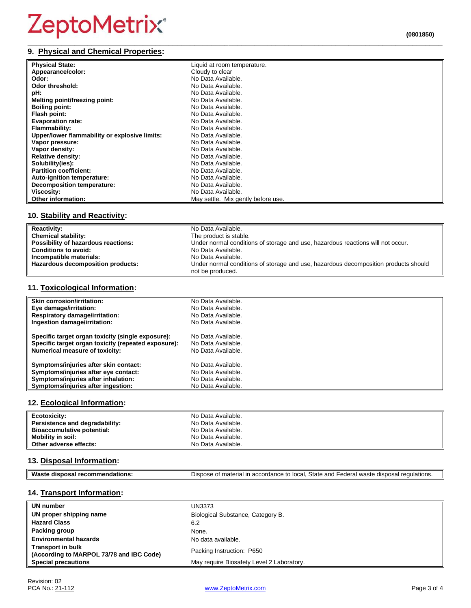# ZeptoMetrix®

#### **\_\_\_\_\_\_\_\_\_\_\_\_\_\_\_\_\_\_\_\_\_\_\_\_\_\_\_\_\_\_\_\_\_\_\_\_\_\_\_\_\_\_\_\_\_\_\_\_\_\_\_\_\_\_\_\_\_\_\_\_\_\_\_\_\_\_\_\_\_\_\_\_\_\_\_\_\_\_\_\_\_\_\_\_\_\_\_\_\_\_\_\_\_\_\_\_\_ 9. Physical and Chemical Properties:**

| (0801850) |  |
|-----------|--|
|           |  |

| <b>Physical State:</b>                        | Liquid at room temperature.        |
|-----------------------------------------------|------------------------------------|
| Appearance/color:                             | Cloudy to clear                    |
| Odor:                                         | No Data Available.                 |
| Odor threshold:                               | No Data Available.                 |
| pH:                                           | No Data Available.                 |
| Melting point/freezing point:                 | No Data Available.                 |
| <b>Boiling point:</b>                         | No Data Available.                 |
| Flash point:                                  | No Data Available.                 |
| <b>Evaporation rate:</b>                      | No Data Available.                 |
| Flammability:                                 | No Data Available.                 |
| Upper/lower flammability or explosive limits: | No Data Available.                 |
| Vapor pressure:                               | No Data Available.                 |
| Vapor density:                                | No Data Available.                 |
| <b>Relative density:</b>                      | No Data Available.                 |
| Solubility(ies):                              | No Data Available.                 |
| <b>Partition coefficient:</b>                 | No Data Available.                 |
| Auto-ignition temperature:                    | No Data Available.                 |
| <b>Decomposition temperature:</b>             | No Data Available.                 |
| <b>Viscosity:</b>                             | No Data Available.                 |
| <b>Other information:</b>                     | May settle. Mix gently before use. |

# **10. Stability and Reactivity:**

| <b>Reactivity:</b>                  | No Data Available.                                                                  |
|-------------------------------------|-------------------------------------------------------------------------------------|
| <b>Chemical stability:</b>          | The product is stable.                                                              |
| Possibility of hazardous reactions: | Under normal conditions of storage and use, hazardous reactions will not occur.     |
| <b>Conditions to avoid:</b>         | No Data Available.                                                                  |
| Incompatible materials:             | No Data Available.                                                                  |
| Hazardous decomposition products:   | Under normal conditions of storage and use, hazardous decomposition products should |
|                                     | not be produced.                                                                    |

# **11. Toxicological Information:**

| <b>Skin corrosion/irritation:</b>                   | No Data Available. |
|-----------------------------------------------------|--------------------|
| Eye damage/irritation:                              | No Data Available. |
| <b>Respiratory damage/irritation:</b>               | No Data Available. |
| Ingestion damage/irritation:                        | No Data Available. |
| Specific target organ toxicity (single exposure):   | No Data Available. |
| Specific target organ toxicity (repeated exposure): | No Data Available. |
| <b>Numerical measure of toxicity:</b>               | No Data Available. |
| Symptoms/injuries after skin contact:               | No Data Available. |
| Symptoms/injuries after eye contact:                | No Data Available. |
| Symptoms/injuries after inhalation:                 | No Data Available. |
| Symptoms/injuries after ingestion:                  | No Data Available. |

# **12. Ecological Information:**

| Ecotoxicity:                   | No Data Available. |
|--------------------------------|--------------------|
| Persistence and degradability: | No Data Available. |
| Bioaccumulative potential:     | No Data Available. |
| <b>Mobility in soil:</b>       | No Data Available. |
| Other adverse effects:         | No Data Available. |

# **13. Disposal Information:**

| Was<br>.<br>. . | $C+$<br>.000<br>one.<br>ndor.<br>)ısr<br>equiations.<br>$\sim$<br>octa<br>iai ir<br>.<br>.corc<br>oldit<br>1d1<br>. A<br>an<br>ы.<br>20 U<br>וומר |
|-----------------|---------------------------------------------------------------------------------------------------------------------------------------------------|

# **14. Transport Information:**

| UN number                                                            | UN3373                                    |
|----------------------------------------------------------------------|-------------------------------------------|
| UN proper shipping name                                              | Biological Substance, Category B.         |
| <b>Hazard Class</b>                                                  | 6.2                                       |
| Packing group                                                        | None.                                     |
| <b>Environmental hazards</b>                                         | No data available.                        |
| <b>Transport in bulk</b><br>(According to MARPOL 73/78 and IBC Code) | Packing Instruction: P650                 |
| <b>Special precautions</b>                                           | May require Biosafety Level 2 Laboratory. |